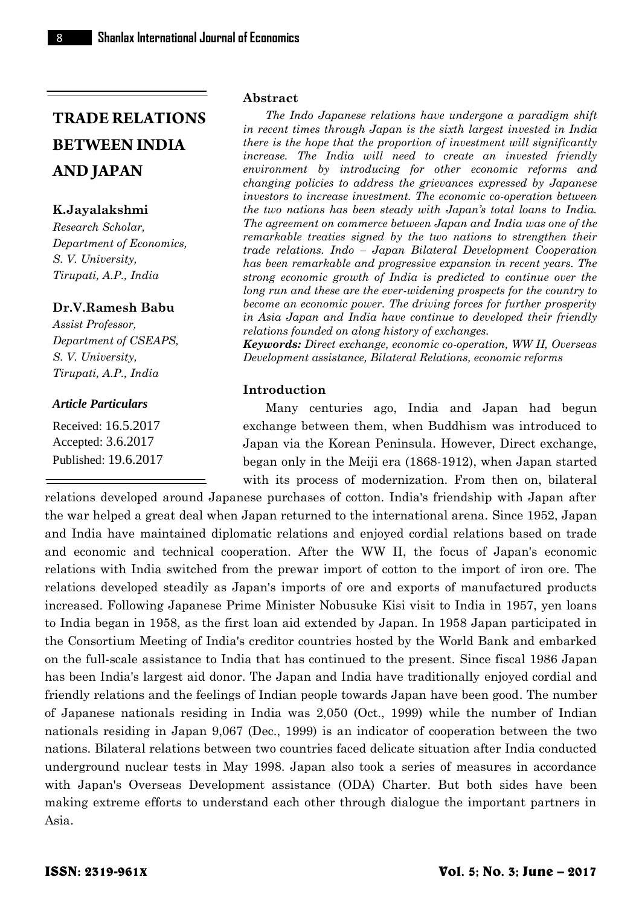# **K.Jayalakshmi**

*Research Scholar, Department of Economics, S. V. University, Tirupati, A.P., India*

#### **Dr.V.Ramesh Babu**

*Assist Professor, Department of CSEAPS, S. V. University, Tirupati, A.P., India*

#### *Article Particulars*

Received: 16.5.2017 Accepted: 3.6.2017 Published: 19.6.2017

#### **Abstract**

*The Indo Japanese relations have undergone a paradigm shift in recent times through Japan is the sixth largest invested in India there is the hope that the proportion of investment will significantly increase. The India will need to create an invested friendly environment by introducing for other economic reforms and changing policies to address the grievances expressed by Japanese investors to increase investment. The economic co-operation between the two nations has been steady with Japan's total loans to India. The agreement on commerce between Japan and India was one of the remarkable treaties signed by the two nations to strengthen their trade relations. Indo – Japan Bilateral Development Cooperation has been remarkable and progressive expansion in recent years. The strong economic growth of India is predicted to continue over the long run and these are the ever-widening prospects for the country to become an economic power. The driving forces for further prosperity in Asia Japan and India have continue to developed their friendly relations founded on along history of exchanges.*

*Keywords: Direct exchange, economic co-operation, WW II, Overseas Development assistance, Bilateral Relations, economic reforms*

#### **Introduction**

Many centuries ago, India and Japan had begun exchange between them, when Buddhism was introduced to Japan via the Korean Peninsula. However, Direct exchange, began only in the Meiji era (1868-1912), when Japan started with its process of modernization. From then on, bilateral

relations developed around Japanese purchases of cotton. India's friendship with Japan after the war helped a great deal when Japan returned to the international arena. Since 1952, Japan and India have maintained diplomatic relations and enjoyed cordial relations based on trade and economic and technical cooperation. After the WW II, the focus of Japan's economic relations with India switched from the prewar import of cotton to the import of iron ore. The relations developed steadily as Japan's imports of ore and exports of manufactured products increased. Following Japanese Prime Minister Nobusuke Kisi visit to India in 1957, yen loans to India began in 1958, as the first loan aid extended by Japan. In 1958 Japan participated in the Consortium Meeting of India's creditor countries hosted by the World Bank and embarked on the full-scale assistance to India that has continued to the present. Since fiscal 1986 Japan has been India's largest aid donor. The Japan and India have traditionally enjoyed cordial and friendly relations and the feelings of Indian people towards Japan have been good. The number of Japanese nationals residing in India was 2,050 (Oct., 1999) while the number of Indian nationals residing in Japan 9,067 (Dec., 1999) is an indicator of cooperation between the two nations. Bilateral relations between two countries faced delicate situation after India conducted underground nuclear tests in May 1998. Japan also took a series of measures in accordance with Japan's Overseas Development assistance (ODA) Charter. But both sides have been making extreme efforts to understand each other through dialogue the important partners in Asia.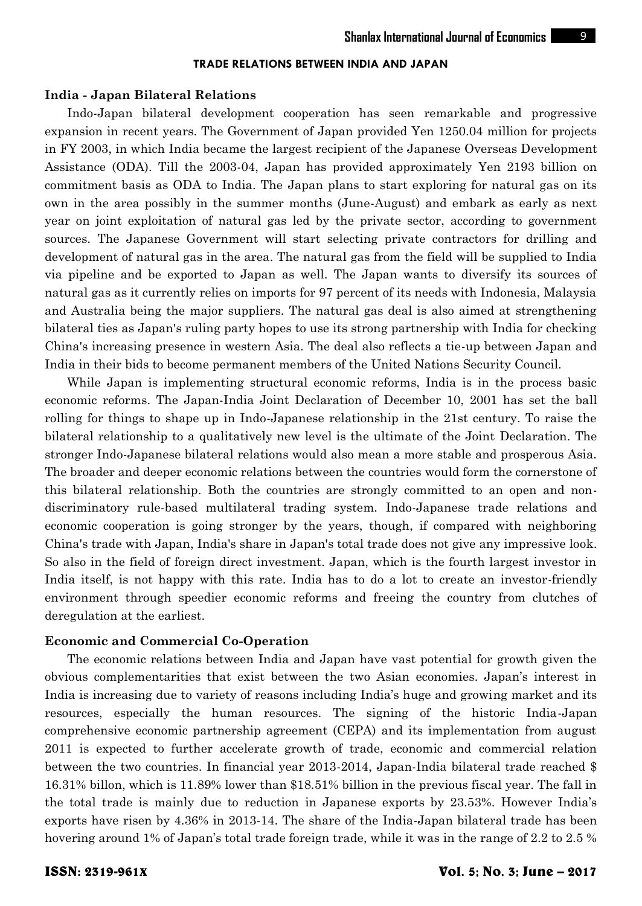#### **India - Japan Bilateral Relations**

Indo-Japan bilateral development cooperation has seen remarkable and progressive expansion in recent years. The Government of Japan provided Yen 1250.04 million for projects in FY 2003, in which India became the largest recipient of the Japanese Overseas Development Assistance (ODA). Till the 2003-04, Japan has provided approximately Yen 2193 billion on commitment basis as ODA to India. The Japan plans to start exploring for natural gas on its own in the area possibly in the summer months (June-August) and embark as early as next year on joint exploitation of natural gas led by the private sector, according to government sources. The Japanese Government will start selecting private contractors for drilling and development of natural gas in the area. The natural gas from the field will be supplied to India via pipeline and be exported to Japan as well. The Japan wants to diversify its sources of natural gas as it currently relies on imports for 97 percent of its needs with Indonesia, Malaysia and Australia being the major suppliers. The natural gas deal is also aimed at strengthening bilateral ties as Japan's ruling party hopes to use its strong partnership with India for checking China's increasing presence in western Asia. The deal also reflects a tie-up between Japan and India in their bids to become permanent members of the United Nations Security Council.

While Japan is implementing structural economic reforms, India is in the process basic economic reforms. The Japan-India Joint Declaration of December 10, 2001 has set the ball rolling for things to shape up in Indo-Japanese relationship in the 21st century. To raise the bilateral relationship to a qualitatively new level is the ultimate of the Joint Declaration. The stronger Indo-Japanese bilateral relations would also mean a more stable and prosperous Asia. The broader and deeper economic relations between the countries would form the cornerstone of this bilateral relationship. Both the countries are strongly committed to an open and non discriminatory rule-based multilateral trading system*.* Indo-Japanese trade relations and economic cooperation is going stronger by the years, though, if compared with neighboring China's trade with Japan, India's share in Japan's total trade does not give any impressive look. So also in the field of foreign direct investment. Japan, which is the fourth largest investor in India itself, is not happy with this rate. India has to do a lot to create an investor-friendly environment through speedier economic reforms and freeing the country from clutches of deregulation at the earliest.

# **Economic and Commercial Co-Operation**

The economic relations between India and Japan have vast potential for growth given the obvious complementarities that exist between the two Asian economies. Japan's interest in India is increasing due to variety of reasons including India's huge and growing market and its resources, especially the human resources. The signing of the historic India-Japan comprehensive economic partnership agreement (CEPA) and its implementation from august 2011 is expected to further accelerate growth of trade, economic and commercial relation between the two countries. In financial year 2013-2014, Japan-India bilateral trade reached \$ 16.31% billon, which is 11.89% lower than \$18.51% billion in the previous fiscal year. The fall in the total trade is mainly due to reduction in Japanese exports by 23.53%. However India's exports have risen by 4.36% in 2013-14. The share of the India-Japan bilateral trade has been hovering around 1% of Japan's total trade foreign trade, while it was in the range of 2.2 to 2.5 %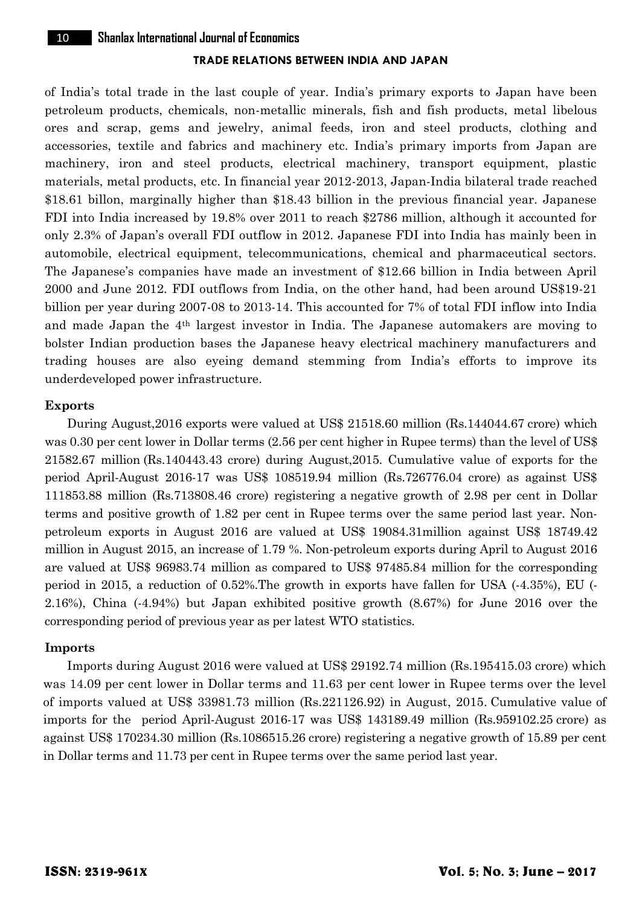of India's total trade in the last couple of year. India's primary exports to Japan have been petroleum products, chemicals, non-metallic minerals, fish and fish products, metal libelous ores and scrap, gems and jewelry, animal feeds, iron and steel products, clothing and accessories, textile and fabrics and machinery etc. India's primary imports from Japan are machinery, iron and steel products, electrical machinery, transport equipment, plastic materials, metal products, etc. In financial year 2012-2013, Japan-India bilateral trade reached \$18.61 billon, marginally higher than \$18.43 billion in the previous financial year. Japanese FDI into India increased by 19.8% over 2011 to reach \$2786 million, although it accounted for only 2.3% of Japan's overall FDI outflow in 2012. Japanese FDI into India has mainly been in automobile, electrical equipment, telecommunications, chemical and pharmaceutical sectors. The Japanese's companies have made an investment of \$12.66 billion in India between April 2000 and June 2012. FDI outflows from India, on the other hand, had been around US\$19-21 billion per year during 2007-08 to 2013-14. This accounted for 7% of total FDI inflow into India and made Japan the 4th largest investor in India. The Japanese automakers are moving to bolster Indian production bases the Japanese heavy electrical machinery manufacturers and trading houses are also eyeing demand stemming from India's efforts to improve its underdeveloped power infrastructure.

# **Exports**

During August,2016 exports were valued at US\$ 21518.60 million (Rs.144044.67 crore) which was 0.30 per cent lower in Dollar terms (2.56 per cent higher in Rupee terms) than the level of US\$ 21582.67 million (Rs.140443.43 crore) during August,2015. Cumulative value of exports for the period April-August 2016-17 was US\$ 108519.94 million (Rs.726776.04 crore) as against US\$ 111853.88 million (Rs.713808.46 crore) registering a negative growth of 2.98 per cent in Dollar terms and positive growth of 1.82 per cent in Rupee terms over the same period last year. Non petroleum exports in August 2016 are valued at US\$ 19084.31million against US\$ 18749.42 million in August 2015, an increase of 1.79 %. Non-petroleum exports during April to August 2016 are valued at US\$ 96983.74 million as compared to US\$ 97485.84 million for the corresponding period in 2015, a reduction of 0.52%.The growth in exports have fallen for USA (-4.35%), EU (- 2.16%), China (-4.94%) but Japan exhibited positive growth (8.67%) for June 2016 over the corresponding period of previous year as per latest WTO statistics.

# **Imports**

Imports during August 2016 were valued at US\$ 29192.74 million (Rs.195415.03 crore) which was 14.09 per cent lower in Dollar terms and 11.63 per cent lower in Rupee terms over the level of imports valued at US\$ 33981.73 million (Rs.221126.92) in August, 2015. Cumulative value of imports for the period April-August 2016-17 was US\$ 143189.49 million (Rs.959102.25 crore) as against US\$ 170234.30 million (Rs.1086515.26 crore) registering a negative growth of 15.89 per cent in Dollar terms and 11.73 per cent in Rupee terms over the same period last year.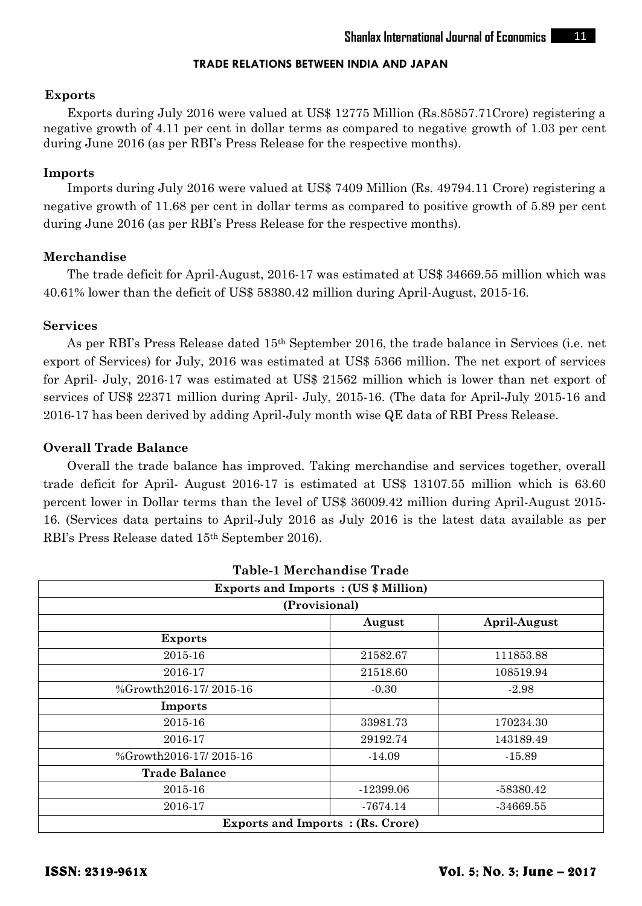# **Exports**

Exports during July 2016 were valued at US\$ 12775 Million (Rs.85857.71Crore) registering a negative growth of 4.11 per cent in dollar terms as compared to negative growth of 1.03 per cent during June 2016 (as per RBI's Press Release for the respective months).

# **Imports**

Imports during July 2016 were valued at US\$ 7409 Million (Rs. 49794.11 Crore) registering a negative growth of 11.68 per cent in dollar terms as compared to positive growth of 5.89 per cent during June 2016 (as per RBI's Press Release for the respective months).

# **Merchandise**

The trade deficit for April-August, 2016-17 was estimated at US\$ 34669.55 million which was 40.61% lower than the deficit of US\$ 58380.42 million during April-August, 2015-16.

# **Services**

As per RBI's Press Release dated 15th September 2016, the trade balance in Services (i.e. net export of Services) for July, 2016 was estimated at US\$ 5366 million. The net export of services for April- July, 2016-17 was estimated at US\$ 21562 million which is lower than net export of services of US\$ 22371 million during April- July, 2015-16. (The data for April-July 2015-16 and 2016-17 has been derived by adding April-July month wise QE data of RBI Press Release.

# **Overall Trade Balance**

Overall the trade balance has improved. Taking merchandise and services together, overall trade deficit for April- August 2016-17 is estimated at US\$ 13107.55 million which is 63.60 percent lower in Dollar terms than the level of US\$ 36009.42 million during April-August 2015- 16. (Services data pertains to April-July 2016 as July 2016 is the latest data available as per RBI's Press Release dated 15th September 2016).

| Table-1 Merchandise Trade                                    |             |             |
|--------------------------------------------------------------|-------------|-------------|
| <b>Exports and Imports: (US \$ Million)</b><br>(Provisional) |             |             |
|                                                              |             |             |
| <b>Exports</b>                                               |             |             |
| 2015-16                                                      | 21582.67    | 111853.88   |
| 2016-17                                                      | 21518.60    | 108519.94   |
| %Growth2016-17/2015-16                                       | $-0.30$     | $-2.98$     |
| Imports                                                      |             |             |
| 2015-16                                                      | 33981.73    | 170234.30   |
| 2016-17                                                      | 29192.74    | 143189.49   |
| %Growth2016-17/2015-16                                       | $-14.09$    | $-15.89$    |
| <b>Trade Balance</b>                                         |             |             |
| 2015-16                                                      | $-12399.06$ | -58380.42   |
| 2016-17                                                      | -7674.14    | $-34669.55$ |
| <b>Exports and Imports : (Rs. Crore)</b>                     |             |             |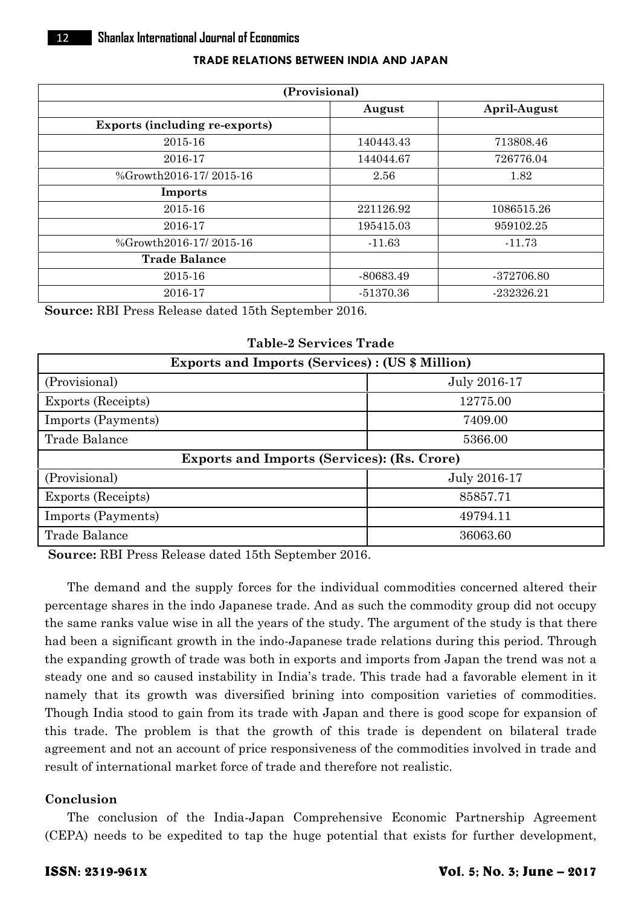| (Provisional)                         |             |              |
|---------------------------------------|-------------|--------------|
|                                       | August      | April-August |
| <b>Exports (including re-exports)</b> |             |              |
| 2015-16                               | 140443.43   | 713808.46    |
| 2016-17                               | 144044.67   | 726776.04    |
| %Growth2016-17/2015-16                | 2.56        | 1.82         |
| Imports                               |             |              |
| 2015-16                               | 221126.92   | 1086515.26   |
| 2016-17                               | 195415.03   | 959102.25    |
| %Growth2016-17/2015-16                | $-11.63$    | $-11.73$     |
| <b>Trade Balance</b>                  |             |              |
| 2015-16                               | -80683.49   | -372706.80   |
| 2016-17                               | $-51370.36$ | $-232326.21$ |

**Source:** RBI Press Release dated 15th September 2016.

**Table-2 Services Trade**

| <b>Exports and Imports (Services): (US \$ Million)</b> |              |  |
|--------------------------------------------------------|--------------|--|
| (Provisional)                                          | July 2016-17 |  |
| Exports (Receipts)                                     | 12775.00     |  |
| Imports (Payments)                                     | 7409.00      |  |
| Trade Balance                                          | 5366.00      |  |
| <b>Exports and Imports (Services): (Rs. Crore)</b>     |              |  |
| (Provisional)                                          | July 2016-17 |  |
| Exports (Receipts)                                     | 85857.71     |  |
| Imports (Payments)                                     | 49794.11     |  |
| Trade Balance                                          | 36063.60     |  |

**Source:** RBI Press Release dated 15th September 2016.

The demand and the supply forces for the individual commodities concerned altered their percentage shares in the indo Japanese trade. And as such the commodity group did not occupy the same ranks value wise in all the years of the study. The argument of the study is that there had been a significant growth in the indo-Japanese trade relations during this period. Through the expanding growth of trade was both in exports and imports from Japan the trend was not a steady one and so caused instability in India's trade. This trade had a favorable element in it namely that its growth was diversified brining into composition varieties of commodities. Though India stood to gain from its trade with Japan and there is good scope for expansion of this trade. The problem is that the growth of this trade is dependent on bilateral trade agreement and not an account of price responsiveness of the commodities involved in trade and result of international market force of trade and therefore not realistic.

# **Conclusion**

The conclusion of the India-Japan Comprehensive Economic Partnership Agreement (CEPA) needs to be expedited to tap the huge potential that exists for further development,